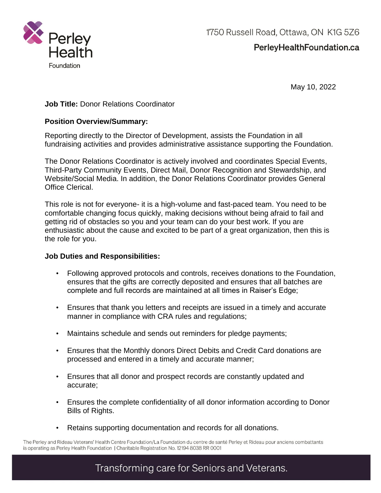

PerleyHealthFoundation.ca

May 10, 2022

## **Job Title:** Donor Relations Coordinator

### **Position Overview/Summary:**

Reporting directly to the Director of Development, assists the Foundation in all fundraising activities and provides administrative assistance supporting the Foundation.

The Donor Relations Coordinator is actively involved and coordinates Special Events, Third-Party Community Events, Direct Mail, Donor Recognition and Stewardship, and Website/Social Media. In addition, the Donor Relations Coordinator provides General Office Clerical.

This role is not for everyone- it is a high-volume and fast-paced team. You need to be comfortable changing focus quickly, making decisions without being afraid to fail and getting rid of obstacles so you and your team can do your best work. If you are enthusiastic about the cause and excited to be part of a great organization, then this is the role for you.

### **Job Duties and Responsibilities:**

- Following approved protocols and controls, receives donations to the Foundation, ensures that the gifts are correctly deposited and ensures that all batches are complete and full records are maintained at all times in Raiser's Edge;
- Ensures that thank you letters and receipts are issued in a timely and accurate manner in compliance with CRA rules and regulations;
- Maintains schedule and sends out reminders for pledge payments;
- Ensures that the Monthly donors Direct Debits and Credit Card donations are processed and entered in a timely and accurate manner;
- Ensures that all donor and prospect records are constantly updated and accurate;
- Ensures the complete confidentiality of all donor information according to Donor Bills of Rights.
- Retains supporting documentation and records for all donations.

The Perley and Rideau Veterans' Health Centre Foundation/La Foundation du centre de santé Perley et Rideau pour anciens combattants is operating as Perley Health Foundation | Charitable Registration No. 12194 8038 RR 0001

# Transforming care for Seniors and Veterans.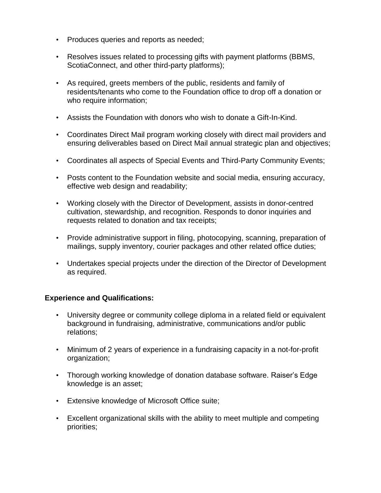- Produces queries and reports as needed;
- Resolves issues related to processing gifts with payment platforms (BBMS, ScotiaConnect, and other third-party platforms);
- As required, greets members of the public, residents and family of residents/tenants who come to the Foundation office to drop off a donation or who require information;
- Assists the Foundation with donors who wish to donate a Gift-In-Kind.
- Coordinates Direct Mail program working closely with direct mail providers and ensuring deliverables based on Direct Mail annual strategic plan and objectives;
- Coordinates all aspects of Special Events and Third-Party Community Events;
- Posts content to the Foundation website and social media, ensuring accuracy, effective web design and readability;
- Working closely with the Director of Development, assists in donor-centred cultivation, stewardship, and recognition. Responds to donor inquiries and requests related to donation and tax receipts;
- Provide administrative support in filing, photocopying, scanning, preparation of mailings, supply inventory, courier packages and other related office duties;
- Undertakes special projects under the direction of the Director of Development as required.

### **Experience and Qualifications:**

- University degree or community college diploma in a related field or equivalent background in fundraising, administrative, communications and/or public relations;
- Minimum of 2 years of experience in a fundraising capacity in a not-for-profit organization;
- Thorough working knowledge of donation database software. Raiser's Edge knowledge is an asset;
- Extensive knowledge of Microsoft Office suite;
- Excellent organizational skills with the ability to meet multiple and competing priorities;